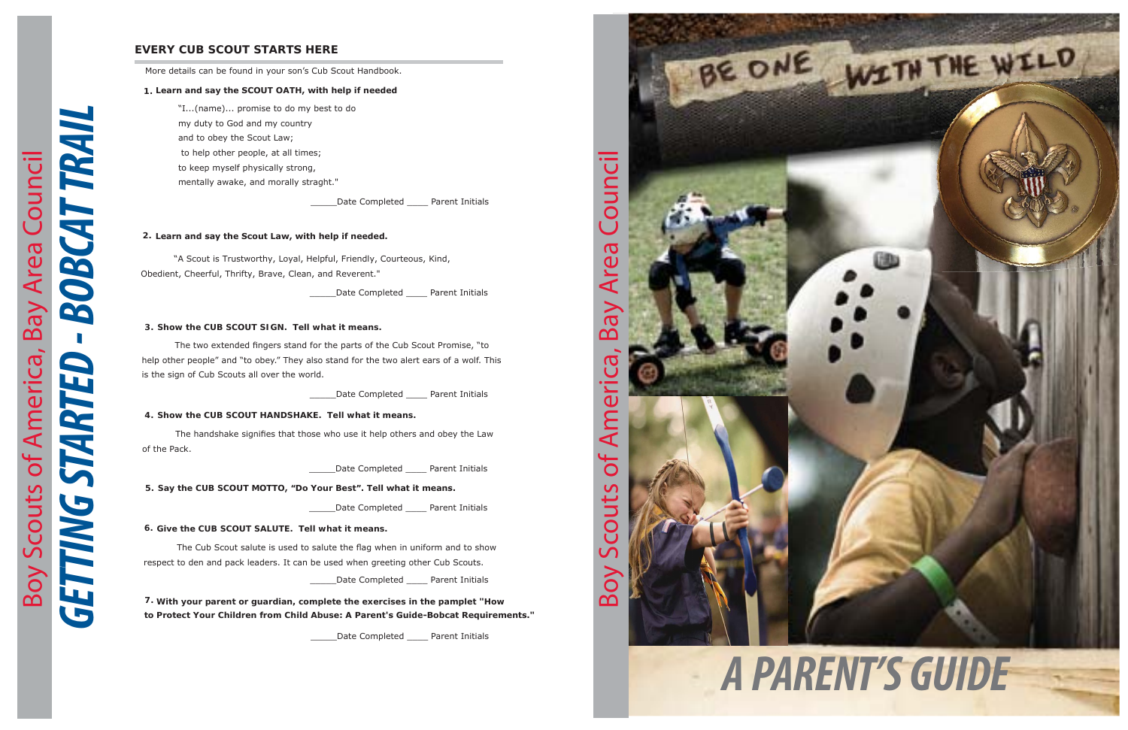# *GETTING STARTED - BOBCAT TRAIL* **BOBCAT TRAIL** Boy Scouts of America, Bay Area Council Boy Scouts of America, Bay Area Council **GETTING STARTED**



# **EVERY CUB SCOUT STARTS HERE**

More details can be found in your son's Cub Scout Handbook.

## **1. Learn and say the SCOUT OATH, with help if needed**

"I...(name)... promise to do my best to do my duty to God and my countryand to obey the Scout Law;to help other people, at all times;to keep myself physically strong, mentally awake, and morally straght."

Date Completed Parent Initials

The two extended fingers stand for the parts of the Cub Scout Promise, "to help other people" and "to obey." They also stand for the two alert ears of a wolf. This is the sign of Cub Scouts all over the world.

Date Completed Parent Initials

## **2. Learn and say the Scout Law, with help if needed.**

The handshake signifies that those who use it help others and obey the Law of the Pack.

Date Completed Parent Initials

"A Scout is Trustworthy, Loyal, Helpful, Friendly, Courteous, Kind, Obedient, Cheerful, Thrifty, Brave, Clean, and Reverent."

\_\_\_\_\_Date Completed \_\_\_\_ Parent Initials

### **3. Show the CUB SCOUT SIGN. Tell what it means.**

The Cub Scout salute is used to salute the flag when in uniform and to show respect to den and pack leaders. It can be used when greeting other Cub Scouts.

Date Completed Parent Initials

## **4. Show the CUB SCOUT HANDSHAKE. Tell what it means.**

**5. Say the CUB SCOUT MOTTO, "Do Your Best". Tell what it means.**

\_\_\_\_\_Date Completed \_\_\_\_ Parent Initials

**6. Give the CUB SCOUT SALUTE. Tell what it means.**

**7. With your parent or guardian, complete the exercises in the pamplet "Howto Protect Your Children from Child Abuse: A Parent's Guide-Bobcat Requirements."**

Date Completed Parent Initials